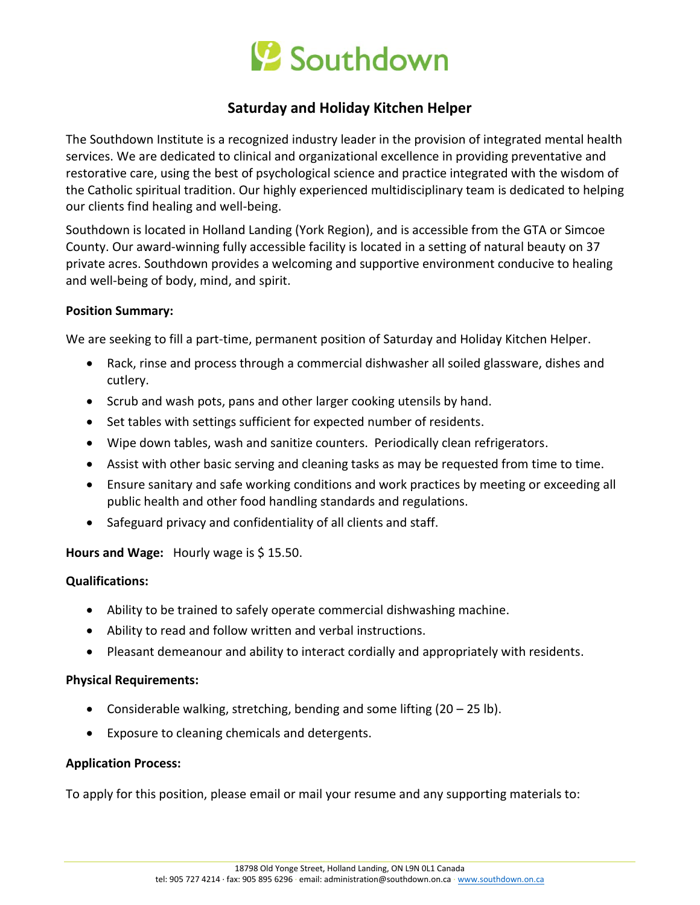

# **Saturday and Holiday Kitchen Helper**

The Southdown Institute is a recognized industry leader in the provision of integrated mental health services. We are dedicated to clinical and organizational excellence in providing preventative and restorative care, using the best of psychological science and practice integrated with the wisdom of the Catholic spiritual tradition. Our highly experienced multidisciplinary team is dedicated to helping our clients find healing and well-being.

Southdown is located in Holland Landing (York Region), and is accessible from the GTA or Simcoe County. Our award-winning fully accessible facility is located in a setting of natural beauty on 37 private acres. Southdown provides a welcoming and supportive environment conducive to healing and well-being of body, mind, and spirit.

## **Position Summary:**

We are seeking to fill a part-time, permanent position of Saturday and Holiday Kitchen Helper.

- Rack, rinse and process through a commercial dishwasher all soiled glassware, dishes and cutlery.
- Scrub and wash pots, pans and other larger cooking utensils by hand.
- Set tables with settings sufficient for expected number of residents.
- Wipe down tables, wash and sanitize counters. Periodically clean refrigerators.
- Assist with other basic serving and cleaning tasks as may be requested from time to time.
- Ensure sanitary and safe working conditions and work practices by meeting or exceeding all public health and other food handling standards and regulations.
- Safeguard privacy and confidentiality of all clients and staff.

**Hours and Wage:** Hourly wage is \$ 15.50.

## **Qualifications:**

- Ability to be trained to safely operate commercial dishwashing machine.
- Ability to read and follow written and verbal instructions.
- Pleasant demeanour and ability to interact cordially and appropriately with residents.

## **Physical Requirements:**

- Considerable walking, stretching, bending and some lifting  $(20 25 \text{ lb})$ .
- Exposure to cleaning chemicals and detergents.

## **Application Process:**

To apply for this position, please email or mail your resume and any supporting materials to: